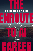# THE SPEED OF THE SPEED OF THE SPEED OF THE SPEED OF THE SPEED OF THE SPEED OF THE SPEED OF THE SPEED OF THE SPEED OF THE SPEED OF THE SPEED OF THE SPEED OF THE SPEED OF THE SPEED OF THE SPEED OF THE SPEED OF THE SPEED OF T UNEXPOSED SIDE OF AN AI CAREER

Entreprisences while transforming career from

non-technical to artificial intelligence career

Experiences while transforming career from

# TO AI BY KANTH™

CAREER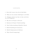#### C O N T E N T S

- 1. How did I move into the AI Job Role
- 2. What are my initial challenges in AI Role

3. Glimpses about my day- to-day activities as an AI Engineer

- 4. My first AI Project Lifecycle
- 5. Business & Project Understanding
- 6. Data Understanding & Quality Check
- 7. Model Building & Evaluation
- 8. Model Deployment & Release
- 9. Why Cloud Computing?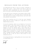## M E S S A G E F R O M T H E A U T H O R

*I'm dedicating this book to every AI Learner, planning to pursue their career. I have written this book to share my experiences while transforming my career and challenges I faced, interviews I failed before getting into the job profile.*

*In this path of career transition no one going to help us 100%, some people laugh at us, some people ask us to drop this idea, some may point us we made a wrong decision, most of the time even you don't trust yourself.*

*Your career transition into AI or into any career demands bloody pain you need to endure for a long time to see the hidden beauty of success.*

*I'm into the situations, where no one helped me, I'm into the situations where I don't have projects to place in my resume, I'm into the situations where I don't know how to speak English, I'm into the situation where I don't know how to market my resume, I'm into the situations where I don't know how to speak in interviews, I'm into the situations where I thought career transition is so simple, I'm into the situations where I thought my friends, family, my mentors going to help me.But the fact is that we need to help ourself in every situation we are in.*

*I'm writing this book as a right guidance for every learner who is transforming to AI.*

*With Love*

w iin Li<br>ferniff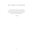### MY FIRST PAYCHECK

*"I started my career as Six Sigma consultant and I received my first month salary as INR 3000 and next month I received around INR 6000."*

*― Kanth*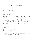### MY JOB HISTORY

**Before Six Sigma,** *I'm a mechanical engineer, no job for 9 months. Got into Six Sigma training, In my training room, I'm the only fresher, and other participants are experienced around 10+ years.*

*Literally I want the job, I can't take my step backwards, and I don't even have sweet time to relax and learn. So, I want to show significant impact in my training, I used to utilise my time, and I got the opportunity to work as Six Sigma person, but they don't pay me the salary for first 3months.*

*INR 5000 in my pocket for next 3months and I said yes to the job. I don't know how I created the way up to this point. Only one thing I believe in myself and in my decision which I made.*

**Before AI***, I'm in Six Sigma, Sales, Marketing, Training into Six Sigma, ITIL, PMP, Scrum, e.t.c.*

**After AI,** *I'm in AI, Trainings, Podcasting, Youtuber, Author, Blogging, Entrepreneur, e.t.c."*

*― Kanth*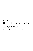"Breaking the chaos of career transition with tenacity. "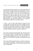*I'm a mechanical graduate and got into a six sigma job profile and working under six sigma black belt consultants. Where I used to work on process excellence and process streamlining, most of my work involves analysing current processes and designing new processes which come up with new tools and less human involvement. Six Sigma strongly believes that we need to remove human participation and need to make an automated process for better operations. As a six sigma consultant, I used to identify dif erent patterns using data and statistics but zero coding and more of Minitab software for all statistical analysis.*

*In 2014, I came to know about Machine Learning & Deep Learning, when I first addressed those words I thought of its more of Mechanical job profile. But while I'm researching machine learning, I came to know that making our computers to learn with less programming(At that point of time I didn't understand anything, completely confused by reading that definition).*

*We're pretty transparent with job profiles like Six Sigma person works on Process Excellence and Revenue saving, java developer on developing software, Database people on handling the databases and designing them, a tester on testing the code e.t.c. Still, I'm not clear with what a Machine Learning Engineer going to do.*

*Then started asking people about what is machine learning and how it works as a job profile. "Some people used to say machines are learning with algorithms" I used to ask how they learn and what are algorithms?*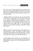*"They used to learn through programming" why programming? What is the purpose of programming? "Some people used to say nested loops are nothing but machine learning" I used to feel like god what exactly machine learning and what these people do in a real-time job profile.*

*I thought of doing a lot of research on my own and caught up around what are the applications of machine learning then i came to see amazon recommendations, loan approval or rejection, content suggestions in facebook, google ads targeting e.t.c, runs on machine learning. Various people said Machine learning is all about mathematics and programming, how people these great companies like amazon, google, apple e.t.c. are using machine learning into their websites and mobile applications? (Totally chaotic right!!)*

*Uf ! So, I thought of understanding how mobile applications or web applications are made and thought of linking machine learning with web applications and mobile applications. Check out this diagram below which I constructed after reading a series of articles of more than 3-4days across 30-40 blogs and more.*

*I started linking machine learning into web applications and mobile applications and started questioning what the purpose of linking machine learning is into web or mobile applications? (For automation)*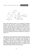

*While understanding the pattern of every application of Machine Learning in the real world, I noticed one intriguing pattern. Machine learning builds a proactive approach towards customer purchases, proactive approach towards the failure of devices, a proactive approach towards loan approval e.t.c. Proactive means controlling a situation before a possible future outcome. So, with the help of machine learning, we are trying to control the future outcome like predicting heart disease, predicting loan approval or rejection e.t.c.*

*Unfortunately, I got the meaning of machine learning and purpose of machine learning engineer, now I need to learn them and need to implement them, but to implement good knowledge of programming is required. Still, I didn't know which programming language to choose like SAS, R, Python e.t.c. Again started researching on why programming and what are the limitations of every programming language and when to use? Where to use?? (Most of my learning curve is all about self-study)*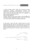Chapter-1: How did I move into the  $\overline{AI}$  Job  $\overline{P}_{\text{rofile}}$ ?

*I started learning various things like supervised learning, unsupervised learning, semi-supervised learning and reinforcement learning(Check below diagram). For every topic, I used to search for why and when? Few basic algorithms of supervised and unsupervised learning (Haaa! totally confused!!!)*

*Seriously, I didn't get why I learnt all these, and it got dif icult to remember all those mathematical things. I used to get a lot of errors while implementing them through programming.*

*At some point, I used to feel like I needed to give up on this machine learning, but some sort of tenacity held me to continue with machine learning. Now I need to break this confusion. So, I decided to implement whatever I learnt on my current work as a small Proof of concept just to know how exactly it works on my dataset.*

Unsuperinced => Nosperited<br>Machine léaning : Techniques => Syperited => Specific<br>Meisforcement = Continuous<br>leaening.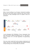#### *Future Process:*

*When I started working on my AI project, I picturised everything like how my new process needs to look like, and I came to know that there are many technologies need to be added to drive one automation.*



*I used technologies like RPA(Robotic Process Automation), Big Data, Data Science, Software development, IoT, e.t.c. Still, when I read on internet AI is all about algorithms & programming language.*

*Even now, when I speak with various students, professionals and leaders, they feel AI is all about algorithms like machine learning & deep learning, close to 90% feel that AI is all about*